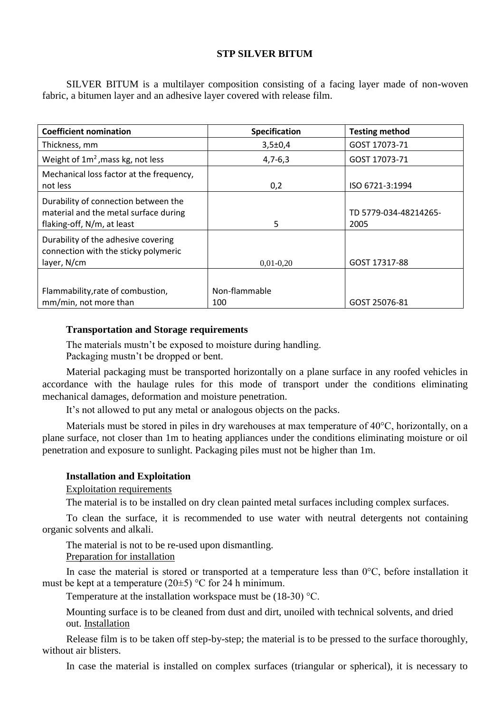## **STP SILVER BITUM**

SILVER BITUM is a multilayer composition consisting of a facing layer made of non-woven fabric, a bitumen layer and an adhesive layer covered with release film.

| <b>Coefficient nomination</b>                                                                               | Specification        | <b>Testing method</b>         |
|-------------------------------------------------------------------------------------------------------------|----------------------|-------------------------------|
| Thickness, mm                                                                                               | 3,5±0,4              | GOST 17073-71                 |
| Weight of $1m^2$ , mass kg, not less                                                                        | $4,7-6,3$            | GOST 17073-71                 |
| Mechanical loss factor at the frequency,<br>not less                                                        | 0,2                  | ISO 6721-3:1994               |
| Durability of connection between the<br>material and the metal surface during<br>flaking-off, N/m, at least | 5                    | TD 5779-034-48214265-<br>2005 |
| Durability of the adhesive covering<br>connection with the sticky polymeric<br>layer, N/cm                  | $0.01 - 0.20$        | GOST 17317-88                 |
| Flammability, rate of combustion,<br>mm/min, not more than                                                  | Non-flammable<br>100 | GOST 25076-81                 |

## **Transportation and Storage requirements**

The materials mustn't be exposed to moisture during handling.

Packaging mustn't be dropped or bent.

Material packaging must be transported horizontally on a plane surface in any roofed vehicles in accordance with the haulage rules for this mode of transport under the conditions eliminating mechanical damages, deformation and moisture penetration.

It's not allowed to put any metal or analogous objects on the packs.

Materials must be stored in piles in dry warehouses at max temperature of 40°C, horizontally, on a plane surface, not closer than 1m to heating appliances under the conditions eliminating moisture or oil penetration and exposure to sunlight. Packaging piles must not be higher than 1m.

## **Installation and Exploitation**

## Exploitation requirements

The material is to be installed on dry clean painted metal surfaces including complex surfaces.

To clean the surface, it is recommended to use water with neutral detergents not containing organic solvents and alkali.

The material is not to be re-used upon dismantling. Preparation for installation

In case the material is stored or transported at a temperature less than  $0^{\circ}$ C, before installation it must be kept at a temperature (20 $\pm$ 5) °C for 24 h minimum.

Temperature at the installation workspace must be (18-30) °C.

Mounting surface is to be cleaned from dust and dirt, unoiled with technical solvents, and dried out. Installation

Release film is to be taken off step-by-step; the material is to be pressed to the surface thoroughly, without air blisters.

In case the material is installed on complex surfaces (triangular or spherical), it is necessary to